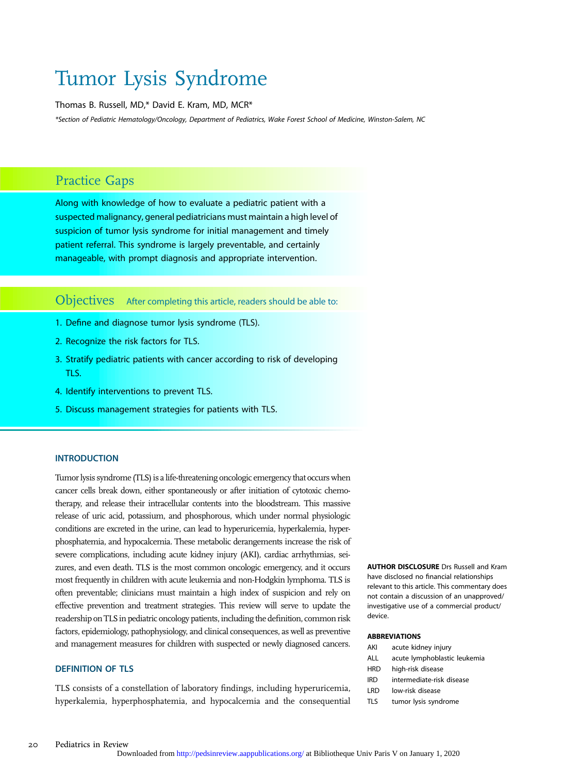# Tumor Lysis Syndrome

#### Thomas B. Russell, MD,\* David E. Kram, MD, MCR\*

\*Section of Pediatric Hematology/Oncology, Department of Pediatrics, Wake Forest School of Medicine, Winston-Salem, NC

# Practice Gaps

Along with knowledge of how to evaluate a pediatric patient with a suspected malignancy, general pediatricians must maintain a high level of suspicion of tumor lysis syndrome for initial management and timely patient referral. This syndrome is largely preventable, and certainly manageable, with prompt diagnosis and appropriate intervention.

## Objectives After completing this article, readers should be able to:

- 1. Define and diagnose tumor lysis syndrome (TLS).
- 2. Recognize the risk factors for TLS.
- 3. Stratify pediatric patients with cancer according to risk of developing TLS.
- 4. Identify interventions to prevent TLS.
- 5. Discuss management strategies for patients with TLS.

### **INTRODUCTION**

Tumor lysis syndrome (TLS) is a life-threatening oncologic emergency that occurs when cancer cells break down, either spontaneously or after initiation of cytotoxic chemotherapy, and release their intracellular contents into the bloodstream. This massive release of uric acid, potassium, and phosphorous, which under normal physiologic conditions are excreted in the urine, can lead to hyperuricemia, hyperkalemia, hyperphosphatemia, and hypocalcemia. These metabolic derangements increase the risk of severe complications, including acute kidney injury (AKI), cardiac arrhythmias, seizures, and even death. TLS is the most common oncologic emergency, and it occurs most frequently in children with acute leukemia and non-Hodgkin lymphoma. TLS is often preventable; clinicians must maintain a high index of suspicion and rely on effective prevention and treatment strategies. This review will serve to update the readership on TLS in pediatric oncology patients, including the definition, common risk factors, epidemiology, pathophysiology, and clinical consequences, as well as preventive and management measures for children with suspected or newly diagnosed cancers.

#### DEFINITION OF TLS

TLS consists of a constellation of laboratory findings, including hyperuricemia, hyperkalemia, hyperphosphatemia, and hypocalcemia and the consequential

**AUTHOR DISCLOSURE** Drs Russell and Kram have disclosed no financial relationships relevant to this article. This commentary does not contain a discussion of an unapproved/ investigative use of a commercial product/ device.

#### ABBREVIATIONS

- AKI acute kidney injury
- ALL acute lymphoblastic leukemia
- HRD high-risk disease
- IRD intermediate-risk disease
- LRD low-risk disease
- TLS tumor lysis syndrome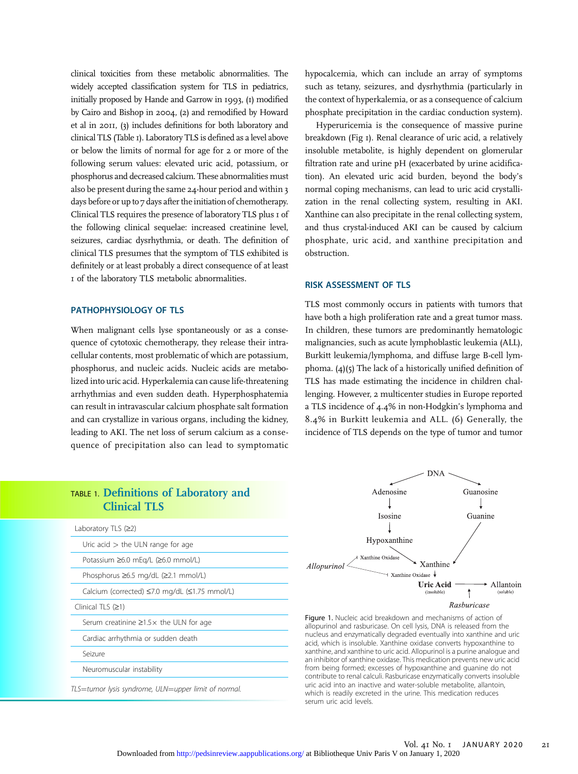clinical toxicities from these metabolic abnormalities. The widely accepted classification system for TLS in pediatrics, initially proposed by Hande and Garrow in 1993, (1) modified by Cairo and Bishop in 2004, (2) and remodified by Howard et al in 2011, (3) includes definitions for both laboratory and clinical TLS (Table 1). Laboratory TLS is defined as a level above or below the limits of normal for age for 2 or more of the following serum values: elevated uric acid, potassium, or phosphorus and decreased calcium. These abnormalities must also be present during the same 24-hour period and within 3 days before or up to 7 days after the initiation of chemotherapy. Clinical TLS requires the presence of laboratory TLS plus 1 of the following clinical sequelae: increased creatinine level, seizures, cardiac dysrhythmia, or death. The definition of clinical TLS presumes that the symptom of TLS exhibited is definitely or at least probably a direct consequence of at least 1 of the laboratory TLS metabolic abnormalities.

#### PATHOPHYSIOLOGY OF TLS

When malignant cells lyse spontaneously or as a consequence of cytotoxic chemotherapy, they release their intracellular contents, most problematic of which are potassium, phosphorus, and nucleic acids. Nucleic acids are metabolized into uric acid. Hyperkalemia can cause life-threatening arrhythmias and even sudden death. Hyperphosphatemia can result in intravascular calcium phosphate salt formation and can crystallize in various organs, including the kidney, leading to AKI. The net loss of serum calcium as a consequence of precipitation also can lead to symptomatic

### hypocalcemia, which can include an array of symptoms such as tetany, seizures, and dysrhythmia (particularly in the context of hyperkalemia, or as a consequence of calcium phosphate precipitation in the cardiac conduction system).

Hyperuricemia is the consequence of massive purine breakdown (Fig 1). Renal clearance of uric acid, a relatively insoluble metabolite, is highly dependent on glomerular filtration rate and urine pH (exacerbated by urine acidification). An elevated uric acid burden, beyond the body's normal coping mechanisms, can lead to uric acid crystallization in the renal collecting system, resulting in AKI. Xanthine can also precipitate in the renal collecting system, and thus crystal-induced AKI can be caused by calcium phosphate, uric acid, and xanthine precipitation and obstruction.

#### RISK ASSESSMENT OF TLS

TLS most commonly occurs in patients with tumors that have both a high proliferation rate and a great tumor mass. In children, these tumors are predominantly hematologic malignancies, such as acute lymphoblastic leukemia (ALL), Burkitt leukemia/lymphoma, and diffuse large B-cell lymphoma. (4)(5) The lack of a historically unified definition of TLS has made estimating the incidence in children challenging. However, 2 multicenter studies in Europe reported a TLS incidence of 4.4% in non-Hodgkin's lymphoma and 8.4% in Burkitt leukemia and ALL. (6) Generally, the incidence of TLS depends on the type of tumor and tumor

# TABLE 1. Definitions of Laboratory and Clinical TLS

| Laboratory TLS $(≥2)$                                      |
|------------------------------------------------------------|
| Uric acid $>$ the ULN range for age                        |
| Potassium $\geq 6.0$ mEg/L ( $\geq 6.0$ mmol/L)            |
| Phosphorus $\geq 6.5$ mg/dL ( $\geq 2.1$ mmol/L)           |
| Calcium (corrected) $\leq$ 7.0 mg/dL ( $\leq$ 1.75 mmol/L) |
| Clinical TLS $(≥1)$                                        |
| Serum creatinine $\geq 1.5 \times$ the ULN for age         |
| Cardiac arrhythmia or sudden death                         |
| Seizure                                                    |
| Neuromuscular instability                                  |
| TLS=tumor lysis syndrome, ULN=upper limit of normal.       |



Figure 1. Nucleic acid breakdown and mechanisms of action of allopurinol and rasburicase. On cell lysis, DNA is released from the nucleus and enzymatically degraded eventually into xanthine and uric acid, which is insoluble. Xanthine oxidase converts hypoxanthine to xanthine, and xanthine to uric acid. Allopurinol is a purine analogue and an inhibitor of xanthine oxidase. This medication prevents new uric acid from being formed; excesses of hypoxanthine and guanine do not contribute to renal calculi. Rasburicase enzymatically converts insoluble uric acid into an inactive and water-soluble metabolite, allantoin, which is readily excreted in the urine. This medication reduces serum uric acid levels.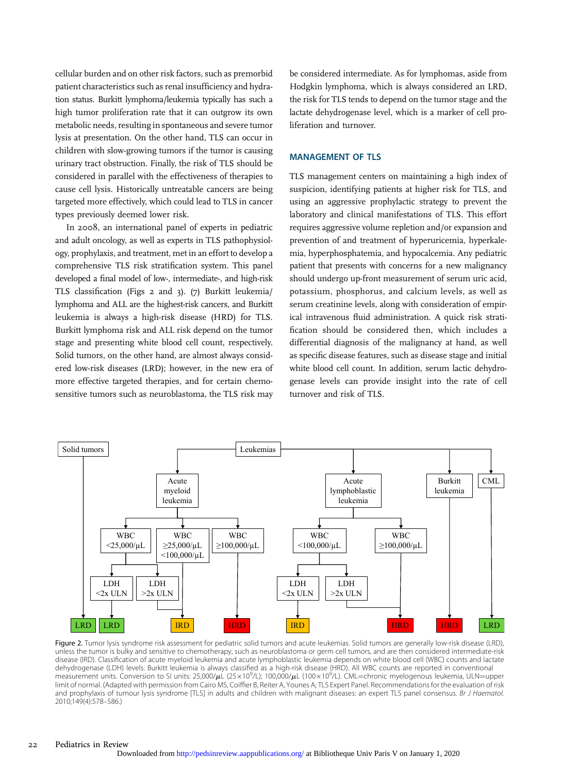cellular burden and on other risk factors, such as premorbid patient characteristics such as renal insufficiency and hydration status. Burkitt lymphoma/leukemia typically has such a high tumor proliferation rate that it can outgrow its own metabolic needs, resulting in spontaneous and severe tumor lysis at presentation. On the other hand, TLS can occur in children with slow-growing tumors if the tumor is causing urinary tract obstruction. Finally, the risk of TLS should be considered in parallel with the effectiveness of therapies to cause cell lysis. Historically untreatable cancers are being targeted more effectively, which could lead to TLS in cancer types previously deemed lower risk.

In 2008, an international panel of experts in pediatric and adult oncology, as well as experts in TLS pathophysiology, prophylaxis, and treatment, met in an effort to develop a comprehensive TLS risk stratification system. This panel developed a final model of low-, intermediate-, and high-risk TLS classification (Figs 2 and 3). (7) Burkitt leukemia/ lymphoma and ALL are the highest-risk cancers, and Burkitt leukemia is always a high-risk disease (HRD) for TLS. Burkitt lymphoma risk and ALL risk depend on the tumor stage and presenting white blood cell count, respectively. Solid tumors, on the other hand, are almost always considered low-risk diseases (LRD); however, in the new era of more effective targeted therapies, and for certain chemosensitive tumors such as neuroblastoma, the TLS risk may

be considered intermediate. As for lymphomas, aside from Hodgkin lymphoma, which is always considered an LRD, the risk for TLS tends to depend on the tumor stage and the lactate dehydrogenase level, which is a marker of cell proliferation and turnover.

#### MANAGEMENT OF TLS

TLS management centers on maintaining a high index of suspicion, identifying patients at higher risk for TLS, and using an aggressive prophylactic strategy to prevent the laboratory and clinical manifestations of TLS. This effort requires aggressive volume repletion and/or expansion and prevention of and treatment of hyperuricemia, hyperkalemia, hyperphosphatemia, and hypocalcemia. Any pediatric patient that presents with concerns for a new malignancy should undergo up-front measurement of serum uric acid, potassium, phosphorus, and calcium levels, as well as serum creatinine levels, along with consideration of empirical intravenous fluid administration. A quick risk stratification should be considered then, which includes a differential diagnosis of the malignancy at hand, as well as specific disease features, such as disease stage and initial white blood cell count. In addition, serum lactic dehydrogenase levels can provide insight into the rate of cell turnover and risk of TLS.



Figure 2. Tumor lysis syndrome risk assessment for pediatric solid tumors and acute leukemias. Solid tumors are generally low-risk disease (LRD), unless the tumor is bulky and sensitive to chemotherapy, such as neuroblastoma or germ cell tumors, and are then considered intermediate-risk disease (IRD). Classification of acute myeloid leukemia and acute lymphoblastic leukemia depends on white blood cell (WBC) counts and lactate dehydrogenase (LDH) levels. Burkitt leukemia is always classified as a high-risk disease (HRD). All WBC counts are reported in conventional measurement units. Conversion to SI units: 25,000/ $\mu$ L (25×10<sup>9</sup>/L); 100,000/ $\mu$ L (100×10<sup>9</sup>/L). CML=chronic myelogenous leukemia, ULN=upper limit of normal. (Adapted with permission from Cairo MS, Coiffier B, Reiter A, Younes A; TLS Expert Panel. Recommendations for the evaluation of risk and prophylaxis of tumour lysis syndrome [TLS] in adults and children with malignant diseases: an expert TLS panel consensus. Br J Haematol. 2010;149(4):578–586.)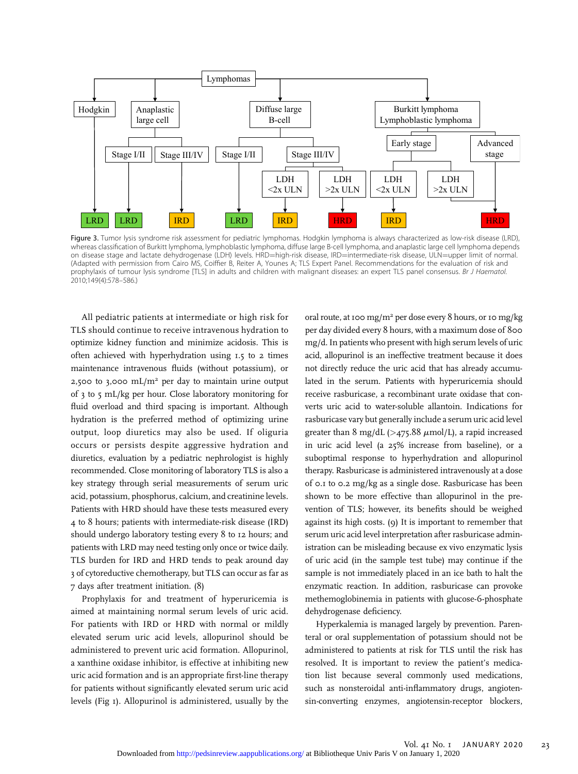

Figure 3. Tumor lysis syndrome risk assessment for pediatric lymphomas. Hodgkin lymphoma is always characterized as low-risk disease (LRD), whereas classification of Burkitt lymphoma, lymphoblastic lymphoma, diffuse large B-cell lymphoma, and anaplastic large cell lymphoma depends on disease stage and lactate dehydrogenase (LDH) levels. HRD=high-risk disease, IRD=intermediate-risk disease, ULN=upper limit of normal. (Adapted with permission from Cairo MS, Coiffier B, Reiter A, Younes A; TLS Expert Panel. Recommendations for the evaluation of risk and prophylaxis of tumour lysis syndrome [TLS] in adults and children with malignant diseases: an expert TLS panel consensus. Br J Haematol. 2010;149(4):578–586.)

All pediatric patients at intermediate or high risk for TLS should continue to receive intravenous hydration to optimize kidney function and minimize acidosis. This is often achieved with hyperhydration using 1.5 to 2 times maintenance intravenous fluids (without potassium), or 2,500 to 3,000 mL/ $m<sup>2</sup>$  per day to maintain urine output of 3 to 5 mL/kg per hour. Close laboratory monitoring for fluid overload and third spacing is important. Although hydration is the preferred method of optimizing urine output, loop diuretics may also be used. If oliguria occurs or persists despite aggressive hydration and diuretics, evaluation by a pediatric nephrologist is highly recommended. Close monitoring of laboratory TLS is also a key strategy through serial measurements of serum uric acid, potassium, phosphorus, calcium, and creatinine levels. Patients with HRD should have these tests measured every 4 to 8 hours; patients with intermediate-risk disease (IRD) should undergo laboratory testing every 8 to 12 hours; and patients with LRD may need testing only once or twice daily. TLS burden for IRD and HRD tends to peak around day 3 of cytoreductive chemotherapy, but TLS can occur as far as 7 days after treatment initiation. (8)

Prophylaxis for and treatment of hyperuricemia is aimed at maintaining normal serum levels of uric acid. For patients with IRD or HRD with normal or mildly elevated serum uric acid levels, allopurinol should be administered to prevent uric acid formation. Allopurinol, a xanthine oxidase inhibitor, is effective at inhibiting new uric acid formation and is an appropriate first-line therapy for patients without significantly elevated serum uric acid levels (Fig 1). Allopurinol is administered, usually by the

oral route, at 100 mg/m2 per dose every 8 hours, or 10 mg/kg per day divided every 8 hours, with a maximum dose of 800 mg/d. In patients who present with high serum levels of uric acid, allopurinol is an ineffective treatment because it does not directly reduce the uric acid that has already accumulated in the serum. Patients with hyperuricemia should receive rasburicase, a recombinant urate oxidase that converts uric acid to water-soluble allantoin. Indications for rasburicase vary but generally include a serum uric acid level greater than 8 mg/dL ( $>475.88 \mu$ mol/L), a rapid increased in uric acid level (a 25% increase from baseline), or a suboptimal response to hyperhydration and allopurinol therapy. Rasburicase is administered intravenously at a dose of 0.1 to 0.2 mg/kg as a single dose. Rasburicase has been shown to be more effective than allopurinol in the prevention of TLS; however, its benefits should be weighed against its high costs. (9) It is important to remember that serum uric acid level interpretation after rasburicase administration can be misleading because ex vivo enzymatic lysis of uric acid (in the sample test tube) may continue if the sample is not immediately placed in an ice bath to halt the enzymatic reaction. In addition, rasburicase can provoke methemoglobinemia in patients with glucose-6-phosphate dehydrogenase deficiency.

Hyperkalemia is managed largely by prevention. Parenteral or oral supplementation of potassium should not be administered to patients at risk for TLS until the risk has resolved. It is important to review the patient's medication list because several commonly used medications, such as nonsteroidal anti-inflammatory drugs, angiotensin-converting enzymes, angiotensin-receptor blockers,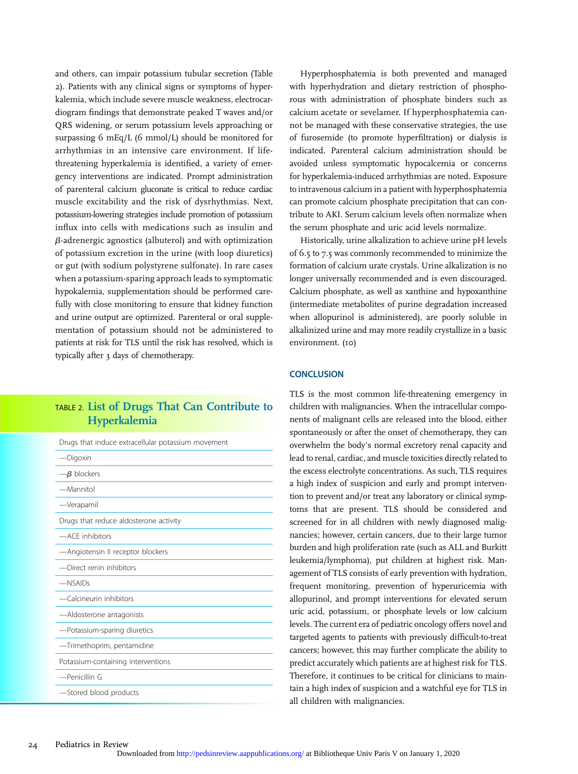and others, can impair potassium tubular secretion (Table 2). Patients with any clinical signs or symptoms of hyperkalemia, which include severe muscle weakness, electrocardiogram findings that demonstrate peaked T waves and/or QRS widening, or serum potassium levels approaching or surpassing 6 mEq/L (6 mmol/L) should be monitored for arrhythmias in an intensive care environment. If lifethreatening hyperkalemia is identified, a variety of emergency interventions are indicated. Prompt administration of parenteral calcium gluconate is critical to reduce cardiac muscle excitability and the risk of dysrhythmias. Next, potassium-lowering strategies include promotion of potassium influx into cells with medications such as insulin and  $\beta$ -adrenergic agnostics (albuterol) and with optimization of potassium excretion in the urine (with loop diuretics) or gut (with sodium polystyrene sulfonate). In rare cases when a potassium-sparing approach leads to symptomatic hypokalemia, supplementation should be performed carefully with close monitoring to ensure that kidney function and urine output are optimized. Parenteral or oral supplementation of potassium should not be administered to patients at risk for TLS until the risk has resolved, which is typically after 3 days of chemotherapy.

### TABLE 2. List of Drugs That Can Contribute to Hyperkalemia

| Drugs that induce extracellular potassium movement |
|----------------------------------------------------|
| –Digoxin                                           |
| $-\beta$ blockers                                  |
| -Mannitol                                          |
| —Verapamil                                         |
| Drugs that reduce aldosterone activity             |
| -ACF inhibitors                                    |
| -Angiotensin II receptor blockers                  |
| -Direct renin inhibitors                           |
| $-$ NSAIDs                                         |
| -Calcineurin inhibitors                            |
| -Aldosterone antagonists                           |
| -Potassium-sparing diuretics                       |
| —Trimethoprim, pentamidine                         |
| Potassium-containing interventions                 |
| -Penicillin G                                      |
| -Stored blood products                             |

Hyperphosphatemia is both prevented and managed with hyperhydration and dietary restriction of phosphorous with administration of phosphate binders such as calcium acetate or sevelamer. If hyperphosphatemia cannot be managed with these conservative strategies, the use of furosemide (to promote hyperfiltration) or dialysis is indicated. Parenteral calcium administration should be avoided unless symptomatic hypocalcemia or concerns for hyperkalemia-induced arrhythmias are noted. Exposure to intravenous calcium in a patient with hyperphosphatemia can promote calcium phosphate precipitation that can contribute to AKI. Serum calcium levels often normalize when the serum phosphate and uric acid levels normalize.

Historically, urine alkalization to achieve urine pH levels of 6.5 to 7.5 was commonly recommended to minimize the formation of calcium urate crystals. Urine alkalization is no longer universally recommended and is even discouraged. Calcium phosphate, as well as xanthine and hypoxanthine (intermediate metabolites of purine degradation increased when allopurinol is administered), are poorly soluble in alkalinized urine and may more readily crystallize in a basic environment. (10)

### **CONCLUSION**

TLS is the most common life-threatening emergency in children with malignancies. When the intracellular components of malignant cells are released into the blood, either spontaneously or after the onset of chemotherapy, they can overwhelm the body's normal excretory renal capacity and lead to renal, cardiac, and muscle toxicities directly related to the excess electrolyte concentrations. As such, TLS requires a high index of suspicion and early and prompt intervention to prevent and/or treat any laboratory or clinical symptoms that are present. TLS should be considered and screened for in all children with newly diagnosed malignancies; however, certain cancers, due to their large tumor burden and high proliferation rate (such as ALL and Burkitt leukemia/lymphoma), put children at highest risk. Management of TLS consists of early prevention with hydration, frequent monitoring, prevention of hyperuricemia with allopurinol, and prompt interventions for elevated serum uric acid, potassium, or phosphate levels or low calcium levels. The current era of pediatric oncology offers novel and targeted agents to patients with previously difficult-to-treat cancers; however, this may further complicate the ability to predict accurately which patients are at highest risk for TLS. Therefore, it continues to be critical for clinicians to maintain a high index of suspicion and a watchful eye for TLS in all children with malignancies.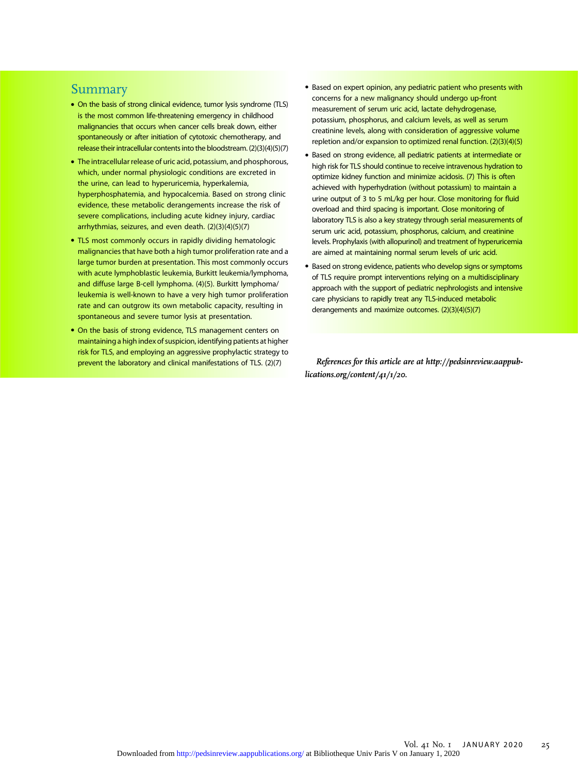# Summary

- On the basis of strong clinical evidence, tumor lysis syndrome (TLS) is the most common life-threatening emergency in childhood malignancies that occurs when cancer cells break down, either spontaneously or after initiation of cytotoxic chemotherapy, and release their intracellular contents into the bloodstream. (2)(3)(4)(5)(7)
- The intracellular release of uric acid, potassium, and phosphorous, which, under normal physiologic conditions are excreted in the urine, can lead to hyperuricemia, hyperkalemia, hyperphosphatemia, and hypocalcemia. Based on strong clinic evidence, these metabolic derangements increase the risk of severe complications, including acute kidney injury, cardiac arrhythmias, seizures, and even death. (2)(3)(4)(5)(7)
- TLS most commonly occurs in rapidly dividing hematologic malignancies that have both a high tumor proliferation rate and a large tumor burden at presentation. This most commonly occurs with acute lymphoblastic leukemia, Burkitt leukemia/lymphoma, and diffuse large B-cell lymphoma. (4)(5). Burkitt lymphoma/ leukemia is well-known to have a very high tumor proliferation rate and can outgrow its own metabolic capacity, resulting in spontaneous and severe tumor lysis at presentation.
- On the basis of strong evidence, TLS management centers on maintaining a high index of suspicion, identifying patients at higher risk for TLS, and employing an aggressive prophylactic strategy to prevent the laboratory and clinical manifestations of TLS. (2)(7)
- Based on expert opinion, any pediatric patient who presents with concerns for a new malignancy should undergo up-front measurement of serum uric acid, lactate dehydrogenase, potassium, phosphorus, and calcium levels, as well as serum creatinine levels, along with consideration of aggressive volume repletion and/or expansion to optimized renal function. (2)(3)(4)(5)
- Based on strong evidence, all pediatric patients at intermediate or high risk for TLS should continue to receive intravenous hydration to optimize kidney function and minimize acidosis. (7) This is often achieved with hyperhydration (without potassium) to maintain a urine output of 3 to 5 mL/kg per hour. Close monitoring for fluid overload and third spacing is important. Close monitoring of laboratory TLS is also a key strategy through serial measurements of serum uric acid, potassium, phosphorus, calcium, and creatinine levels. Prophylaxis (with allopurinol) and treatment of hyperuricemia are aimed at maintaining normal serum levels of uric acid.
- Based on strong evidence, patients who develop signs or symptoms of TLS require prompt interventions relying on a multidisciplinary approach with the support of pediatric nephrologists and intensive care physicians to rapidly treat any TLS-induced metabolic derangements and maximize outcomes. (2)(3)(4)(5)(7)

References for this article are at [http://pedsinreview.aappub](http://pedsinreview.aappublications.org/content/41/1/20)[lications.org/content/41/1/20.](http://pedsinreview.aappublications.org/content/41/1/20)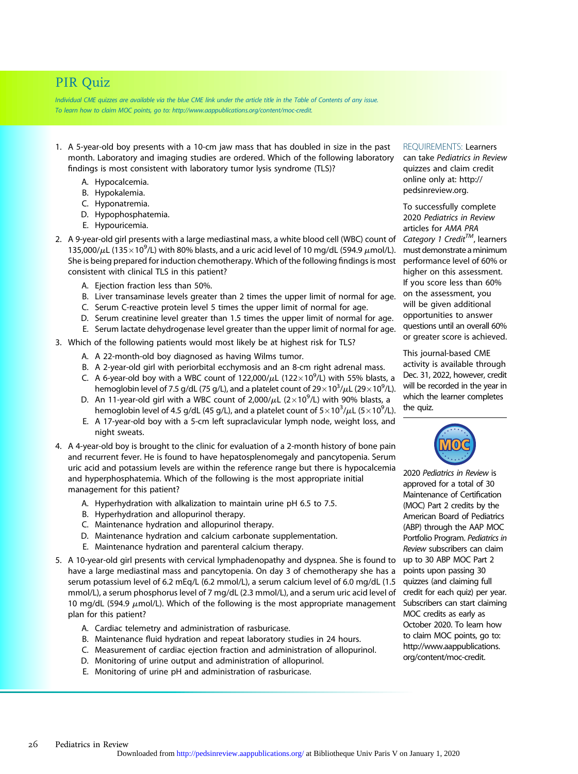# PIR Quiz

Individual CME quizzes are available via the blue CME link under the article title in the Table of Contents of any issue. To learn how to claim MOC points, go to: [http://www.aappublications.org/content/moc-credit.](http://www.aappublications.org/content/moc-credit)

- 1. A 5-year-old boy presents with a 10-cm jaw mass that has doubled in size in the past month. Laboratory and imaging studies are ordered. Which of the following laboratory findings is most consistent with laboratory tumor lysis syndrome (TLS)?
	- A. Hypocalcemia.
	- B. Hypokalemia.
	- C. Hyponatremia.
	- D. Hypophosphatemia.
	- E. Hypouricemia.
- 2. A 9-year-old girl presents with a large mediastinal mass, a white blood cell (WBC) count of 135,000/ $\mu$ L (135 $\times$ 10<sup>9</sup>/L) with 80% blasts, and a uric acid level of 10 mg/dL (594.9  $\mu$ mol/L). She is being prepared for induction chemotherapy. Which of the following findings is most consistent with clinical TLS in this patient?
	- A. Ejection fraction less than 50%.
	- B. Liver transaminase levels greater than 2 times the upper limit of normal for age.
	- C. Serum C-reactive protein level 5 times the upper limit of normal for age.
	- D. Serum creatinine level greater than 1.5 times the upper limit of normal for age.
	- E. Serum lactate dehydrogenase level greater than the upper limit of normal for age.
- 3. Which of the following patients would most likely be at highest risk for TLS?
	- A. A 22-month-old boy diagnosed as having Wilms tumor.
	- B. A 2-year-old girl with periorbital ecchymosis and an 8-cm right adrenal mass.
	- C. A 6-year-old boy with a WBC count of 122,000/ $\mu$ L (122 $\times$ 10<sup>9</sup>/L) with 55% blasts, a hemoglobin level of 7.5 g/dL (75 g/L), and a platelet count of  $29 \times 10^3/\mu$ L (29 $\times 10^9$ /L).
	- D. An 11-year-old girl with a WBC count of 2,000/ $\mu$ L (2×10<sup>9</sup>/L) with 90% blasts, a hemoglobin level of 4.5 g/dL (45 g/L), and a platelet count of  $5\times10^3/\mu$ L ( $5\times10^9$ /L).
	- E. A 17-year-old boy with a 5-cm left supraclavicular lymph node, weight loss, and night sweats.
- 4. A 4-year-old boy is brought to the clinic for evaluation of a 2-month history of bone pain and recurrent fever. He is found to have hepatosplenomegaly and pancytopenia. Serum uric acid and potassium levels are within the reference range but there is hypocalcemia and hyperphosphatemia. Which of the following is the most appropriate initial management for this patient?
	- A. Hyperhydration with alkalization to maintain urine pH 6.5 to 7.5.
	- B. Hyperhydration and allopurinol therapy.
	- C. Maintenance hydration and allopurinol therapy.
	- D. Maintenance hydration and calcium carbonate supplementation.
	- E. Maintenance hydration and parenteral calcium therapy.
- 5. A 10-year-old girl presents with cervical lymphadenopathy and dyspnea. She is found to have a large mediastinal mass and pancytopenia. On day 3 of chemotherapy she has a serum potassium level of 6.2 mEq/L (6.2 mmol/L), a serum calcium level of 6.0 mg/dL (1.5 mmol/L), a serum phosphorus level of 7 mg/dL (2.3 mmol/L), and a serum uric acid level of 10 mg/dL (594.9  $\mu$ mol/L). Which of the following is the most appropriate management plan for this patient?
	- A. Cardiac telemetry and administration of rasburicase.
	- B. Maintenance fluid hydration and repeat laboratory studies in 24 hours.
	- C. Measurement of cardiac ejection fraction and administration of allopurinol.
	- D. Monitoring of urine output and administration of allopurinol.
	- E. Monitoring of urine pH and administration of rasburicase.

### REQUIREMENTS: Learners

can take Pediatrics in Review quizzes and claim credit online only at: [http://](http://pedsinreview.org) [pedsinreview.org](http://pedsinreview.org).

To successfully complete 2020 Pediatrics in Review articles for AMA PRA Category 1 Credit<sup>TM</sup>, learners must demonstrate aminimum performance level of 60% or higher on this assessment. If you score less than 60% on the assessment, you will be given additional opportunities to answer questions until an overall 60% or greater score is achieved.

This journal-based CME activity is available through Dec. 31, 2022, however, credit will be recorded in the year in which the learner completes the quiz.



2020 Pediatrics in Review is approved for a total of 30 Maintenance of Certification (MOC) Part 2 credits by the American Board of Pediatrics (ABP) through the AAP MOC Portfolio Program. Pediatrics in Review subscribers can claim up to 30 ABP MOC Part 2 points upon passing 30 quizzes (and claiming full credit for each quiz) per year. Subscribers can start claiming MOC credits as early as October 2020. To learn how to claim MOC points, go to: [http://www.aappublications.](http://www.aappublications.org/content/moc-credit) [org/content/moc-credit.](http://www.aappublications.org/content/moc-credit)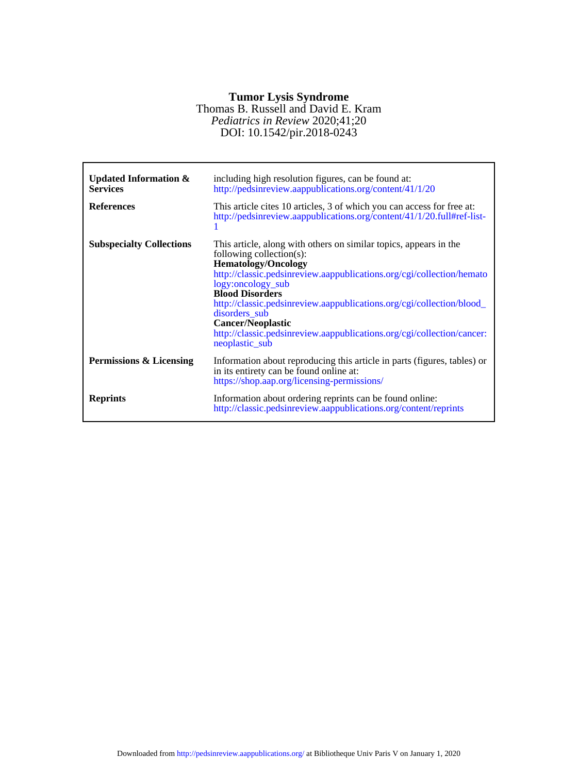# **Tumor Lysis Syndrome**

### DOI: 10.1542/pir.2018-0243 *Pediatrics in Review* 2020;41;20 Thomas B. Russell and David E. Kram

| Updated Information $\&$<br><b>Services</b><br><b>References</b> | including high resolution figures, can be found at:<br>http://pedsinreview.aappublications.org/content/41/1/20<br>This article cites 10 articles, 3 of which you can access for free at:<br>http://pedsinreview.aappublications.org/content/41/1/20.full#ref-list-                                                                                                                                                                                                        |
|------------------------------------------------------------------|---------------------------------------------------------------------------------------------------------------------------------------------------------------------------------------------------------------------------------------------------------------------------------------------------------------------------------------------------------------------------------------------------------------------------------------------------------------------------|
| <b>Subspecialty Collections</b>                                  | This article, along with others on similar topics, appears in the<br>following collection $(s)$ :<br><b>Hematology/Oncology</b><br>http://classic.pedsinreview.aappublications.org/cgi/collection/hemato<br>logy:oncology_sub<br><b>Blood Disorders</b><br>http://classic.pedsinreview.aappublications.org/cgi/collection/blood_<br>disorders sub<br><b>Cancer/Neoplastic</b><br>http://classic.pedsinreview.aappublications.org/cgi/collection/cancer:<br>neoplastic_sub |
| Permissions & Licensing                                          | Information about reproducing this article in parts (figures, tables) or<br>in its entirety can be found online at:<br>https://shop.aap.org/licensing-permissions/                                                                                                                                                                                                                                                                                                        |
| <b>Reprints</b>                                                  | Information about ordering reprints can be found online:<br>http://classic.pedsinreview.aappublications.org/content/reprints                                                                                                                                                                                                                                                                                                                                              |